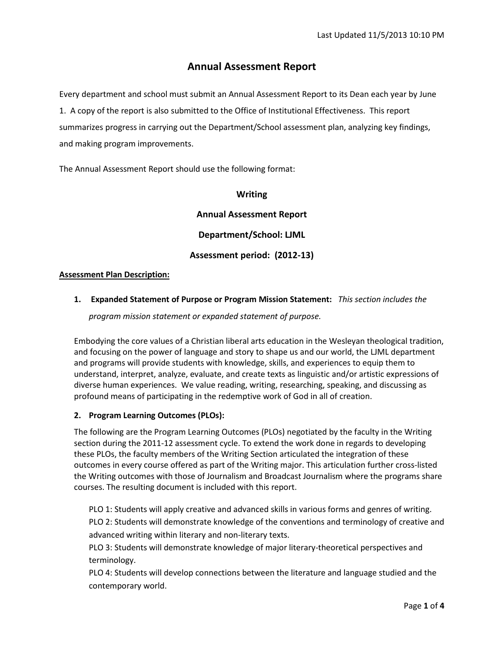# **Annual Assessment Report**

Every department and school must submit an Annual Assessment Report to its Dean each year by June 1. A copy of the report is also submitted to the Office of Institutional Effectiveness. This report summarizes progress in carrying out the Department/School assessment plan, analyzing key findings, and making program improvements.

The Annual Assessment Report should use the following format:

### **Writing**

**Annual Assessment Report**

**Department/School: LJML**

# **Assessment period: (2012-13)**

### **Assessment Plan Description:**

# **1. Expanded Statement of Purpose or Program Mission Statement:** *This section includes the*

*program mission statement or expanded statement of purpose.* 

Embodying the core values of a Christian liberal arts education in the Wesleyan theological tradition, and focusing on the power of language and story to shape us and our world, the LJML department and programs will provide students with knowledge, skills, and experiences to equip them to understand, interpret, analyze, evaluate, and create texts as linguistic and/or artistic expressions of diverse human experiences. We value reading, writing, researching, speaking, and discussing as profound means of participating in the redemptive work of God in all of creation.

## **2. Program Learning Outcomes (PLOs):**

The following are the Program Learning Outcomes (PLOs) negotiated by the faculty in the Writing section during the 2011-12 assessment cycle. To extend the work done in regards to developing these PLOs, the faculty members of the Writing Section articulated the integration of these outcomes in every course offered as part of the Writing major. This articulation further cross-listed the Writing outcomes with those of Journalism and Broadcast Journalism where the programs share courses. The resulting document is included with this report.

PLO 1: Students will apply creative and advanced skills in various forms and genres of writing. PLO 2: Students will demonstrate knowledge of the conventions and terminology of creative and advanced writing within literary and non-literary texts.

PLO 3: Students will demonstrate knowledge of major literary-theoretical perspectives and terminology.

PLO 4: Students will develop connections between the literature and language studied and the contemporary world.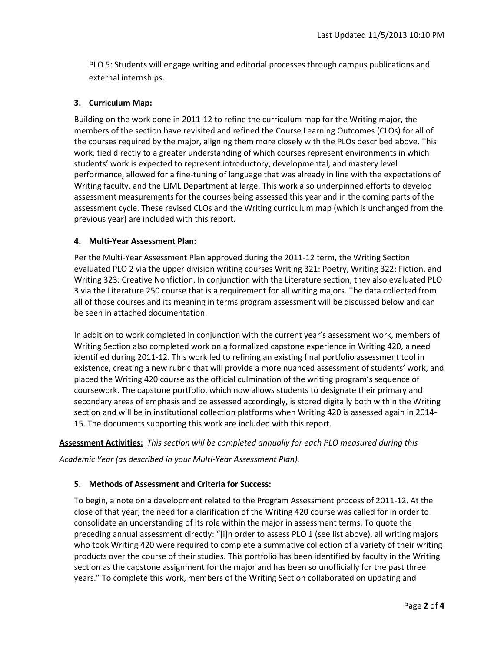PLO 5: Students will engage writing and editorial processes through campus publications and external internships.

### **3. Curriculum Map:**

Building on the work done in 2011-12 to refine the curriculum map for the Writing major, the members of the section have revisited and refined the Course Learning Outcomes (CLOs) for all of the courses required by the major, aligning them more closely with the PLOs described above. This work, tied directly to a greater understanding of which courses represent environments in which students' work is expected to represent introductory, developmental, and mastery level performance, allowed for a fine-tuning of language that was already in line with the expectations of Writing faculty, and the LJML Department at large. This work also underpinned efforts to develop assessment measurements for the courses being assessed this year and in the coming parts of the assessment cycle. These revised CLOs and the Writing curriculum map (which is unchanged from the previous year) are included with this report.

#### **4. Multi-Year Assessment Plan:**

Per the Multi-Year Assessment Plan approved during the 2011-12 term, the Writing Section evaluated PLO 2 via the upper division writing courses Writing 321: Poetry, Writing 322: Fiction, and Writing 323: Creative Nonfiction. In conjunction with the Literature section, they also evaluated PLO 3 via the Literature 250 course that is a requirement for all writing majors. The data collected from all of those courses and its meaning in terms program assessment will be discussed below and can be seen in attached documentation.

In addition to work completed in conjunction with the current year's assessment work, members of Writing Section also completed work on a formalized capstone experience in Writing 420, a need identified during 2011-12. This work led to refining an existing final portfolio assessment tool in existence, creating a new rubric that will provide a more nuanced assessment of students' work, and placed the Writing 420 course as the official culmination of the writing program's sequence of coursework. The capstone portfolio, which now allows students to designate their primary and secondary areas of emphasis and be assessed accordingly, is stored digitally both within the Writing section and will be in institutional collection platforms when Writing 420 is assessed again in 2014- 15. The documents supporting this work are included with this report.

#### **Assessment Activities:** *This section will be completed annually for each PLO measured during this*

*Academic Year (as described in your Multi-Year Assessment Plan).* 

## **5. Methods of Assessment and Criteria for Success:**

To begin, a note on a development related to the Program Assessment process of 2011-12. At the close of that year, the need for a clarification of the Writing 420 course was called for in order to consolidate an understanding of its role within the major in assessment terms. To quote the preceding annual assessment directly: "[i]n order to assess PLO 1 (see list above), all writing majors who took Writing 420 were required to complete a summative collection of a variety of their writing products over the course of their studies. This portfolio has been identified by faculty in the Writing section as the capstone assignment for the major and has been so unofficially for the past three years." To complete this work, members of the Writing Section collaborated on updating and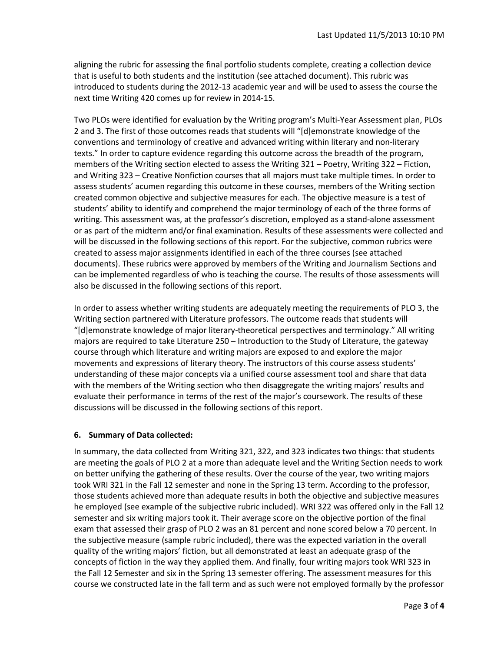aligning the rubric for assessing the final portfolio students complete, creating a collection device that is useful to both students and the institution (see attached document). This rubric was introduced to students during the 2012-13 academic year and will be used to assess the course the next time Writing 420 comes up for review in 2014-15.

Two PLOs were identified for evaluation by the Writing program's Multi-Year Assessment plan, PLOs 2 and 3. The first of those outcomes reads that students will "[d]emonstrate knowledge of the conventions and terminology of creative and advanced writing within literary and non-literary texts." In order to capture evidence regarding this outcome across the breadth of the program, members of the Writing section elected to assess the Writing 321 – Poetry, Writing 322 – Fiction, and Writing 323 – Creative Nonfiction courses that all majors must take multiple times. In order to assess students' acumen regarding this outcome in these courses, members of the Writing section created common objective and subjective measures for each. The objective measure is a test of students' ability to identify and comprehend the major terminology of each of the three forms of writing. This assessment was, at the professor's discretion, employed as a stand-alone assessment or as part of the midterm and/or final examination. Results of these assessments were collected and will be discussed in the following sections of this report. For the subjective, common rubrics were created to assess major assignments identified in each of the three courses (see attached documents). These rubrics were approved by members of the Writing and Journalism Sections and can be implemented regardless of who is teaching the course. The results of those assessments will also be discussed in the following sections of this report.

In order to assess whether writing students are adequately meeting the requirements of PLO 3, the Writing section partnered with Literature professors. The outcome reads that students will "[d]emonstrate knowledge of major literary-theoretical perspectives and terminology." All writing majors are required to take Literature 250 – Introduction to the Study of Literature, the gateway course through which literature and writing majors are exposed to and explore the major movements and expressions of literary theory. The instructors of this course assess students' understanding of these major concepts via a unified course assessment tool and share that data with the members of the Writing section who then disaggregate the writing majors' results and evaluate their performance in terms of the rest of the major's coursework. The results of these discussions will be discussed in the following sections of this report.

#### **6. Summary of Data collected:**

In summary, the data collected from Writing 321, 322, and 323 indicates two things: that students are meeting the goals of PLO 2 at a more than adequate level and the Writing Section needs to work on better unifying the gathering of these results. Over the course of the year, two writing majors took WRI 321 in the Fall 12 semester and none in the Spring 13 term. According to the professor, those students achieved more than adequate results in both the objective and subjective measures he employed (see example of the subjective rubric included). WRI 322 was offered only in the Fall 12 semester and six writing majors took it. Their average score on the objective portion of the final exam that assessed their grasp of PLO 2 was an 81 percent and none scored below a 70 percent. In the subjective measure (sample rubric included), there was the expected variation in the overall quality of the writing majors' fiction, but all demonstrated at least an adequate grasp of the concepts of fiction in the way they applied them. And finally, four writing majors took WRI 323 in the Fall 12 Semester and six in the Spring 13 semester offering. The assessment measures for this course we constructed late in the fall term and as such were not employed formally by the professor